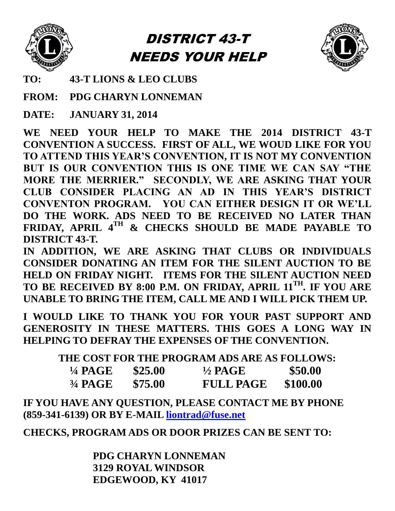

# DISTRICT 43-T NEEDS YOUR HELP



**TO: 43-T LIONS & LEO CLUBS**

**FROM: PDG CHARYN LONNEMAN**

**DATE: JANUARY 31, 2014**

**WE NEED YOUR HELP TO MAKE THE 2014 DISTRICT 43-T CONVENTION A SUCCESS. FIRST OF ALL, WE WOUD LIKE FOR YOU TO ATTEND THIS YEAR'S CONVENTION, IT IS NOT MY CONVENTION BUT IS OUR CONVENTION THIS IS ONE TIME WE CAN SAY "THE MORE THE MERRIER." SECONDLY, WE ARE ASKING THAT YOUR CLUB CONSIDER PLACING AN AD IN THIS YEAR'S DISTRICT CONVENTON PROGRAM. YOU CAN EITHER DESIGN IT OR WE'LL DO THE WORK. ADS NEED TO BE RECEIVED NO LATER THAN FRIDAY, APRIL 4 TH & CHECKS SHOULD BE MADE PAYABLE TO DISTRICT 43-T.** 

**IN ADDITION, WE ARE ASKING THAT CLUBS OR INDIVIDUALS CONSIDER DONATING AN ITEM FOR THE SILENT AUCTION TO BE HELD ON FRIDAY NIGHT. ITEMS FOR THE SILENT AUCTION NEED TO BE RECEIVED BY 8:00 P.M. ON FRIDAY, APRIL 11TH . IF YOU ARE UNABLE TO BRING THE ITEM, CALL ME AND I WILL PICK THEM UP.** 

**I WOULD LIKE TO THANK YOU FOR YOUR PAST SUPPORT AND GENEROSITY IN THESE MATTERS. THIS GOES A LONG WAY IN HELPING TO DEFRAY THE EXPENSES OF THE CONVENTION.** 

**THE COST FOR THE PROGRAM ADS ARE AS FOLLOWS:**

| <sup>1</sup> / <sub>4</sub> PAGE | \$25.00 | <sup>1</sup> / <sub>2</sub> PAGE | \$50.00  |
|----------------------------------|---------|----------------------------------|----------|
| $34$ PAGE                        | \$75.00 | <b>FULL PAGE</b>                 | \$100.00 |

**IF YOU HAVE ANY QUESTION, PLEASE CONTACT ME BY PHONE (859-341-6139) OR BY E-MAIL [liontrad@fuse.net](mailto:liontrad@fuse.net)**

**CHECKS, PROGRAM ADS OR DOOR PRIZES CAN BE SENT TO:**

 **PDG CHARYN LONNEMAN 3129 ROYAL WINDSOR EDGEWOOD, KY 41017**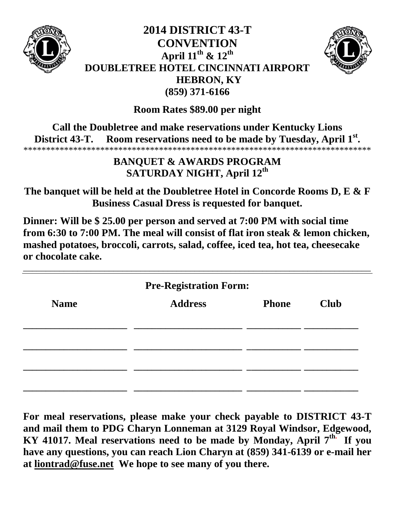

## **2014 DISTRICT 43-T CONVENTION April 11th & 12th DOUBLETREE HOTEL CINCINNATI AIRPORT HEBRON, KY (859) 371-6166**



**Room Rates \$89.00 per night**

**Call the Doubletree and make reservations under Kentucky Lions District 43-T. Room reservations need to be made by Tuesday, April 1st .** \*\*\*\*\*\*\*\*\*\*\*\*\*\*\*\*\*\*\*\*\*\*\*\*\*\*\*\*\*\*\*\*\*\*\*\*\*\*\*\*\*\*\*\*\*\*\*\*\*\*\*\*\*\*\*\*\*\*\*\*\*\*\*\*\*\*\*\*\*\*\*\*\*\*\*\*\*

### **BANQUET & AWARDS PROGRAM SATURDAY NIGHT, April 12th**

**The banquet will be held at the Doubletree Hotel in Concorde Rooms D, E & F Business Casual Dress is requested for banquet.** 

**Dinner: Will be \$ 25.00 per person and served at 7:00 PM with social time from 6:30 to 7:00 PM. The meal will consist of flat iron steak & lemon chicken, mashed potatoes, broccoli, carrots, salad, coffee, iced tea, hot tea, cheesecake or chocolate cake.** 

| <b>Pre-Registration Form:</b> |                |              |             |  |
|-------------------------------|----------------|--------------|-------------|--|
| <b>Name</b>                   | <b>Address</b> | <b>Phone</b> | <b>Club</b> |  |
|                               |                |              |             |  |
|                               |                |              |             |  |
|                               |                |              |             |  |

**For meal reservations, please make your check payable to DISTRICT 43-T and mail them to PDG Charyn Lonneman at 3129 Royal Windsor, Edgewood, KY 41017. Meal reservations need to be made by Monday, April 7th. If you have any questions, you can reach Lion Charyn at (859) 341-6139 or e-mail her at [liontrad@fuse.net](mailto:liontrad@fuse.net) We hope to see many of you there.**